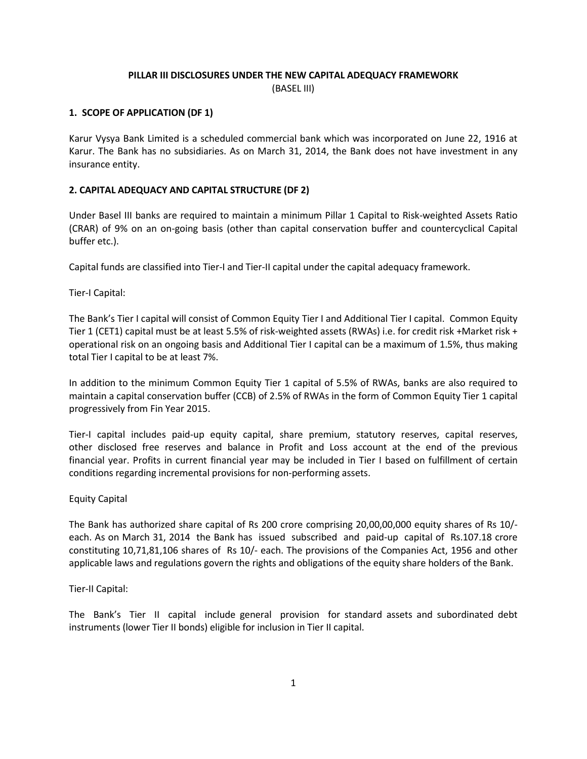## PILLAR III DISCLOSURES UNDER THE NEW CAPITAL ADEQUACY FRAMEWORK (BASEL III)

## 1. SCOPE OF APPLICATION (DF 1)

Karur Vysya Bank Limited is a scheduled commercial bank which was incorporated on June 22, 1916 at Karur. The Bank has no subsidiaries. As on March 31, 2014, the Bank does not have investment in any insurance entity.

## 2. CAPITAL ADEQUACY AND CAPITAL STRUCTURE (DF 2)

Under Basel III banks are required to maintain a minimum Pillar 1 Capital to Risk-weighted Assets Ratio (CRAR) of 9% on an on-going basis (other than capital conservation buffer and countercyclical Capital buffer etc.).

Capital funds are classified into Tier-I and Tier-II capital under the capital adequacy framework.

Tier-I Capital:

The Bank's Tier I capital will consist of Common Equity Tier I and Additional Tier I capital. Common Equity Tier 1 (CET1) capital must be at least 5.5% of risk-weighted assets (RWAs) i.e. for credit risk +Market risk + operational risk on an ongoing basis and Additional Tier I capital can be a maximum of 1.5%, thus making total Tier I capital to be at least 7%.

In addition to the minimum Common Equity Tier 1 capital of 5.5% of RWAs, banks are also required to maintain a capital conservation buffer (CCB) of 2.5% of RWAs in the form of Common Equity Tier 1 capital progressively from Fin Year 2015.

Tier-I capital includes paid-up equity capital, share premium, statutory reserves, capital reserves, other disclosed free reserves and balance in Profit and Loss account at the end of the previous financial year. Profits in current financial year may be included in Tier I based on fulfillment of certain conditions regarding incremental provisions for non-performing assets.

#### Equity Capital

The Bank has authorized share capital of Rs 200 crore comprising 20,00,00,000 equity shares of Rs 10/ each. As on March 31, 2014 the Bank has issued subscribed and paid-up capital of Rs.107.18 crore constituting 10,71,81,106 shares of Rs 10/- each. The provisions of the Companies Act, 1956 and other applicable laws and regulations govern the rights and obligations of the equity share holders of the Bank.

## Tier-II Capital:

The Bank's Tier II capital include general provision for standard assets and subordinated debt instruments (lower Tier II bonds) eligible for inclusion in Tier II capital.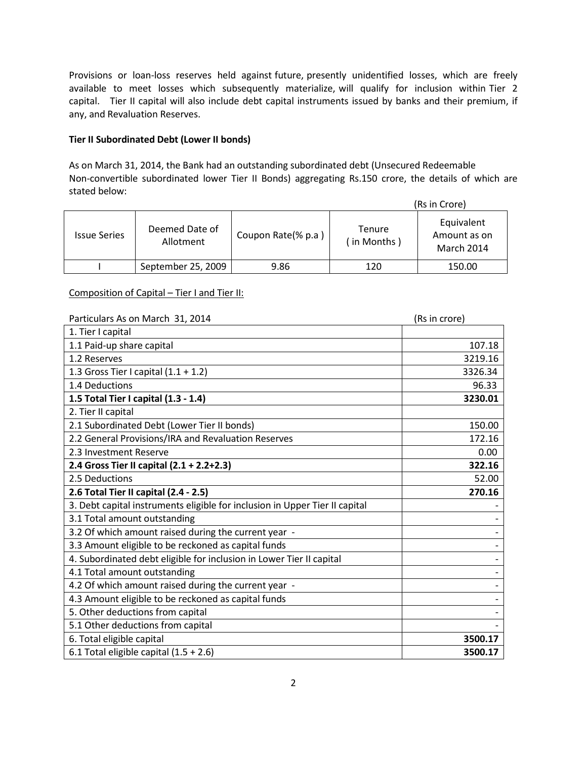Provisions or loan-loss reserves held against future, presently unidentified losses, which are freely available to meet losses which subsequently materialize, will qualify for inclusion within Tier 2 capital. Tier II capital will also include debt capital instruments issued by banks and their premium, if any, and Revaluation Reserves.

## Tier II Subordinated Debt (Lower II bonds)

As on March 31, 2014, the Bank had an outstanding subordinated debt (Unsecured Redeemable Non-convertible subordinated lower Tier II Bonds) aggregating Rs.150 crore, the details of which are stated below:

|                     | (Rs in Crore)               |                    |                         |                                                 |  |  |
|---------------------|-----------------------------|--------------------|-------------------------|-------------------------------------------------|--|--|
| <b>Issue Series</b> | Deemed Date of<br>Allotment | Coupon Rate(% p.a) | Tenure<br>( in Months ) | Equivalent<br>Amount as on<br><b>March 2014</b> |  |  |
|                     | September 25, 2009          | 9.86               | 120                     | 150.00                                          |  |  |

## Composition of Capital – Tier I and Tier II:

| Particulars As on March 31, 2014                                            | (Rs in crore) |  |  |
|-----------------------------------------------------------------------------|---------------|--|--|
| 1. Tier I capital                                                           |               |  |  |
| 1.1 Paid-up share capital                                                   | 107.18        |  |  |
| 1.2 Reserves                                                                | 3219.16       |  |  |
| 1.3 Gross Tier I capital $(1.1 + 1.2)$                                      | 3326.34       |  |  |
| 1.4 Deductions                                                              | 96.33         |  |  |
| 1.5 Total Tier I capital (1.3 - 1.4)                                        | 3230.01       |  |  |
| 2. Tier II capital                                                          |               |  |  |
| 2.1 Subordinated Debt (Lower Tier II bonds)                                 | 150.00        |  |  |
| 2.2 General Provisions/IRA and Revaluation Reserves                         | 172.16        |  |  |
| 2.3 Investment Reserve                                                      | 0.00          |  |  |
| 2.4 Gross Tier II capital (2.1 + 2.2+2.3)                                   | 322.16        |  |  |
| 2.5 Deductions                                                              | 52.00         |  |  |
| 2.6 Total Tier II capital (2.4 - 2.5)                                       | 270.16        |  |  |
| 3. Debt capital instruments eligible for inclusion in Upper Tier II capital |               |  |  |
| 3.1 Total amount outstanding                                                |               |  |  |
| 3.2 Of which amount raised during the current year -                        |               |  |  |
| 3.3 Amount eligible to be reckoned as capital funds                         |               |  |  |
| 4. Subordinated debt eligible for inclusion in Lower Tier II capital        |               |  |  |
| 4.1 Total amount outstanding                                                |               |  |  |
| 4.2 Of which amount raised during the current year -                        |               |  |  |
| 4.3 Amount eligible to be reckoned as capital funds                         |               |  |  |
| 5. Other deductions from capital                                            |               |  |  |
| 5.1 Other deductions from capital                                           |               |  |  |
| 6. Total eligible capital                                                   | 3500.17       |  |  |
| 6.1 Total eligible capital $(1.5 + 2.6)$                                    | 3500.17       |  |  |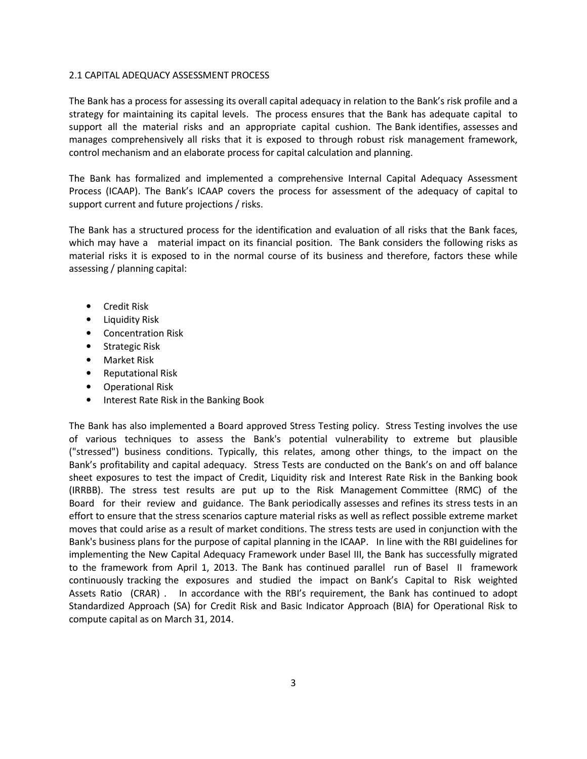#### 2.1 CAPITAL ADEQUACY ASSESSMENT PROCESS

The Bank has a process for assessing its overall capital adequacy in relation to the Bank's risk profile and a strategy for maintaining its capital levels. The process ensures that the Bank has adequate capital to support all the material risks and an appropriate capital cushion. The Bank identifies, assesses and manages comprehensively all risks that it is exposed to through robust risk management framework, control mechanism and an elaborate process for capital calculation and planning.

The Bank has formalized and implemented a comprehensive Internal Capital Adequacy Assessment Process (ICAAP). The Bank's ICAAP covers the process for assessment of the adequacy of capital to support current and future projections / risks.

The Bank has a structured process for the identification and evaluation of all risks that the Bank faces, which may have a material impact on its financial position. The Bank considers the following risks as material risks it is exposed to in the normal course of its business and therefore, factors these while assessing / planning capital:

- Credit Risk
- Liquidity Risk
- Concentration Risk
- Strategic Risk
- Market Risk
- Reputational Risk
- Operational Risk
- Interest Rate Risk in the Banking Book

The Bank has also implemented a Board approved Stress Testing policy. Stress Testing involves the use of various techniques to assess the Bank's potential vulnerability to extreme but plausible ("stressed") business conditions. Typically, this relates, among other things, to the impact on the Bank's profitability and capital adequacy. Stress Tests are conducted on the Bank's on and off balance sheet exposures to test the impact of Credit, Liquidity risk and Interest Rate Risk in the Banking book (IRRBB). The stress test results are put up to the Risk Management Committee (RMC) of the Board for their review and guidance. The Bank periodically assesses and refines its stress tests in an effort to ensure that the stress scenarios capture material risks as well as reflect possible extreme market moves that could arise as a result of market conditions. The stress tests are used in conjunction with the Bank's business plans for the purpose of capital planning in the ICAAP. In line with the RBI guidelines for implementing the New Capital Adequacy Framework under Basel III, the Bank has successfully migrated to the framework from April 1, 2013. The Bank has continued parallel run of Basel II framework continuously tracking the exposures and studied the impact on Bank's Capital to Risk weighted Assets Ratio (CRAR) . In accordance with the RBI's requirement, the Bank has continued to adopt Standardized Approach (SA) for Credit Risk and Basic Indicator Approach (BIA) for Operational Risk to compute capital as on March 31, 2014.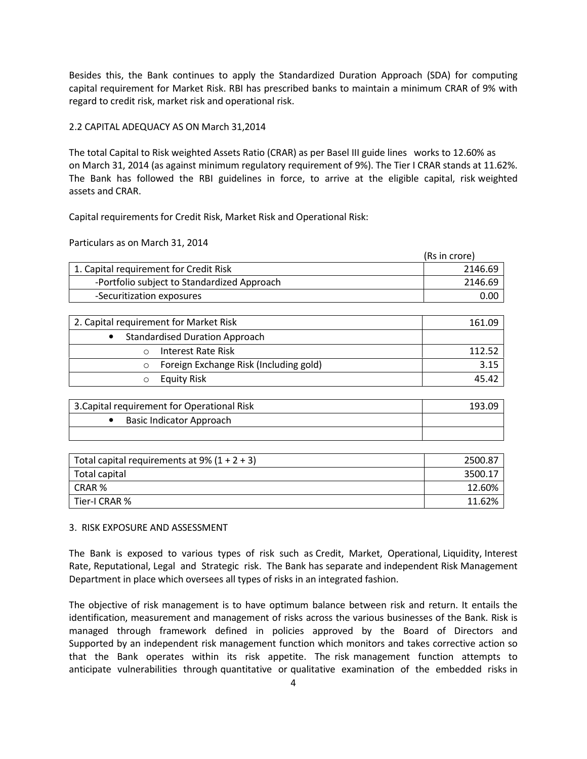Besides this, the Bank continues to apply the Standardized Duration Approach (SDA) for computing capital requirement for Market Risk. RBI has prescribed banks to maintain a minimum CRAR of 9% with regard to credit risk, market risk and operational risk.

## 2.2 CAPITAL ADEQUACY AS ON March 31,2014

The total Capital to Risk weighted Assets Ratio (CRAR) as per Basel III guide lines works to 12.60% as on March 31, 2014 (as against minimum regulatory requirement of 9%). The Tier I CRAR stands at 11.62%. The Bank has followed the RBI guidelines in force, to arrive at the eligible capital, risk weighted assets and CRAR.

Capital requirements for Credit Risk, Market Risk and Operational Risk:

Particulars as on March 31, 2014

|                                             | (Rs in crore) |
|---------------------------------------------|---------------|
| 1. Capital requirement for Credit Risk      | 2146.69       |
| -Portfolio subject to Standardized Approach | 2146.69       |
| -Securitization exposures                   | 0.0C          |

| 2. Capital requirement for Market Risk | 161.09 |
|----------------------------------------|--------|
| <b>Standardised Duration Approach</b>  |        |
| Interest Rate Risk                     | 112.52 |
| Foreign Exchange Risk (Including gold) | 3.15   |
| <b>Equity Risk</b>                     | 45.42  |

| 3. Capital requirement for Operational Risk | 193.09 |
|---------------------------------------------|--------|
| Basic Indicator Approach                    |        |
|                                             |        |

| Total capital requirements at 9% $(1 + 2 + 3)$ | 2500.87 |
|------------------------------------------------|---------|
| Total capital                                  | 3500.17 |
| CRAR %                                         | 12.60%  |
| Tier-I CRAR %                                  | 11.62%  |

#### 3. RISK EXPOSURE AND ASSESSMENT

The Bank is exposed to various types of risk such as Credit, Market, Operational, Liquidity, Interest Rate, Reputational, Legal and Strategic risk. The Bank has separate and independent Risk Management Department in place which oversees all types of risks in an integrated fashion.

The objective of risk management is to have optimum balance between risk and return. It entails the identification, measurement and management of risks across the various businesses of the Bank. Risk is managed through framework defined in policies approved by the Board of Directors and Supported by an independent risk management function which monitors and takes corrective action so that the Bank operates within its risk appetite. The risk management function attempts to anticipate vulnerabilities through quantitative or qualitative examination of the embedded risks in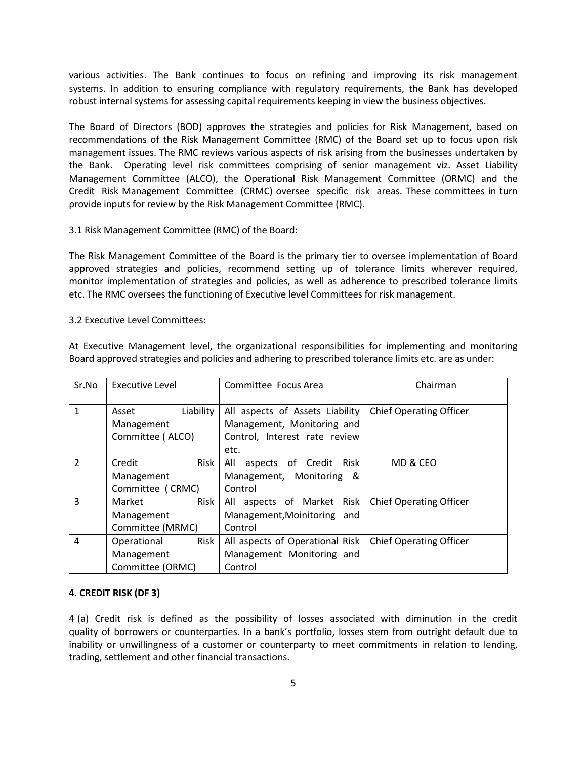various activities. The Bank continues to focus on refining and improving its risk management systems. In addition to ensuring compliance with regulatory requirements, the Bank has developed robust internal systems for assessing capital requirements keeping in view the business objectives.

The Board of Directors (BOD) approves the strategies and policies for Risk Management, based on recommendations of the Risk Management Committee (RMC) of the Board set up to focus upon risk management issues. The RMC reviews various aspects of risk arising from the businesses undertaken by the Bank. Operating level risk committees comprising of senior management viz. Asset Liability Management Committee (ALCO), the Operational Risk Management Committee (ORMC) and the Credit Risk Management Committee (CRMC) oversee specific risk areas. These committees in turn provide inputs for review by the Risk Management Committee (RMC).

#### 3.1 Risk Management Committee (RMC) of the Board:

The Risk Management Committee of the Board is the primary tier to oversee implementation of Board approved strategies and policies, recommend setting up of tolerance limits wherever required, monitor implementation of strategies and policies, as well as adherence to prescribed tolerance limits etc. The RMC oversees the functioning of Executive level Committees for risk management.

#### 3.2 Executive Level Committees:

At Executive Management level, the organizational responsibilities for implementing and monitoring Board approved strategies and policies and adhering to prescribed tolerance limits etc. are as under:

| Sr.No          | <b>Executive Level</b>                                | Committee Focus Area                                                                           | Chairman                       |  |
|----------------|-------------------------------------------------------|------------------------------------------------------------------------------------------------|--------------------------------|--|
| 1              | Liability<br>Asset<br>Management<br>Committee (ALCO)  | All aspects of Assets Liability<br>Management, Monitoring and<br>Control, Interest rate review | <b>Chief Operating Officer</b> |  |
| $\overline{2}$ | Risk<br>Credit<br>Management<br>Committee (CRMC)      | etc.<br>All<br>Risk<br>aspects of Credit<br>Management, Monitoring<br>- &<br>Control           | MD & CEO                       |  |
| 3              | Risk<br>Market<br>Management<br>Committee (MRMC)      | All aspects of Market Risk<br>Management, Moinitoring and<br>Control                           | <b>Chief Operating Officer</b> |  |
| $\overline{4}$ | Risk<br>Operational<br>Management<br>Committee (ORMC) | All aspects of Operational Risk<br>Management Monitoring and<br>Control                        | <b>Chief Operating Officer</b> |  |

#### 4. CREDIT RISK (DF 3)

4 (a) Credit risk is defined as the possibility of losses associated with diminution in the credit quality of borrowers or counterparties. In a bank's portfolio, losses stem from outright default due to inability or unwillingness of a customer or counterparty to meet commitments in relation to lending, trading, settlement and other financial transactions.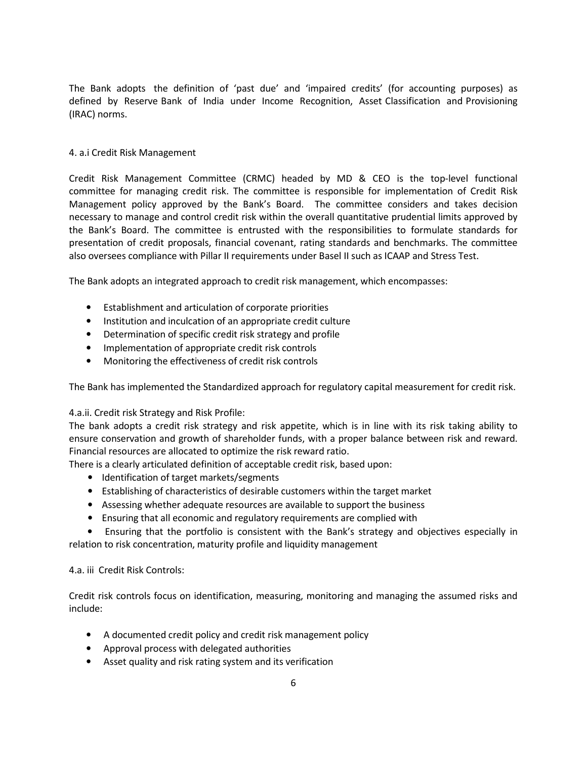The Bank adopts the definition of 'past due' and 'impaired credits' (for accounting purposes) as defined by Reserve Bank of India under Income Recognition, Asset Classification and Provisioning (IRAC) norms.

## 4. a.i Credit Risk Management

Credit Risk Management Committee (CRMC) headed by MD & CEO is the top-level functional committee for managing credit risk. The committee is responsible for implementation of Credit Risk Management policy approved by the Bank's Board. The committee considers and takes decision necessary to manage and control credit risk within the overall quantitative prudential limits approved by the Bank's Board. The committee is entrusted with the responsibilities to formulate standards for presentation of credit proposals, financial covenant, rating standards and benchmarks. The committee also oversees compliance with Pillar II requirements under Basel II such as ICAAP and Stress Test.

The Bank adopts an integrated approach to credit risk management, which encompasses:

- Establishment and articulation of corporate priorities
- Institution and inculcation of an appropriate credit culture
- Determination of specific credit risk strategy and profile
- Implementation of appropriate credit risk controls
- Monitoring the effectiveness of credit risk controls

The Bank has implemented the Standardized approach for regulatory capital measurement for credit risk.

## 4.a.ii. Credit risk Strategy and Risk Profile:

The bank adopts a credit risk strategy and risk appetite, which is in line with its risk taking ability to ensure conservation and growth of shareholder funds, with a proper balance between risk and reward. Financial resources are allocated to optimize the risk reward ratio.

There is a clearly articulated definition of acceptable credit risk, based upon:

- Identification of target markets/segments
- Establishing of characteristics of desirable customers within the target market
- Assessing whether adequate resources are available to support the business
- Ensuring that all economic and regulatory requirements are complied with

 • Ensuring that the portfolio is consistent with the Bank's strategy and objectives especially in relation to risk concentration, maturity profile and liquidity management

#### 4.a. iii Credit Risk Controls:

Credit risk controls focus on identification, measuring, monitoring and managing the assumed risks and include:

- A documented credit policy and credit risk management policy
- Approval process with delegated authorities
- Asset quality and risk rating system and its verification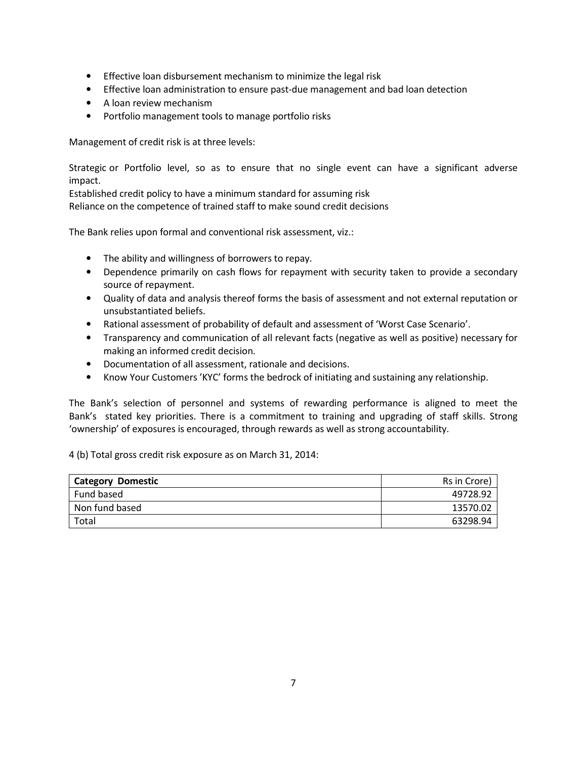- Effective loan disbursement mechanism to minimize the legal risk
- Effective loan administration to ensure past-due management and bad loan detection
- A loan review mechanism
- Portfolio management tools to manage portfolio risks

Management of credit risk is at three levels:

Strategic or Portfolio level, so as to ensure that no single event can have a significant adverse impact.

Established credit policy to have a minimum standard for assuming risk Reliance on the competence of trained staff to make sound credit decisions

The Bank relies upon formal and conventional risk assessment, viz.:

- The ability and willingness of borrowers to repay.
- Dependence primarily on cash flows for repayment with security taken to provide a secondary source of repayment.
- Quality of data and analysis thereof forms the basis of assessment and not external reputation or unsubstantiated beliefs.
- Rational assessment of probability of default and assessment of 'Worst Case Scenario'.
- Transparency and communication of all relevant facts (negative as well as positive) necessary for making an informed credit decision.
- Documentation of all assessment, rationale and decisions.
- Know Your Customers 'KYC' forms the bedrock of initiating and sustaining any relationship.

The Bank's selection of personnel and systems of rewarding performance is aligned to meet the Bank's stated key priorities. There is a commitment to training and upgrading of staff skills. Strong 'ownership' of exposures is encouraged, through rewards as well as strong accountability.

4 (b) Total gross credit risk exposure as on March 31, 2014:

| <b>Category Domestic</b> | Rs in Crore) |
|--------------------------|--------------|
| Fund based               | 49728.92     |
| Non fund based           | 13570.02     |
| Total                    | 63298.94     |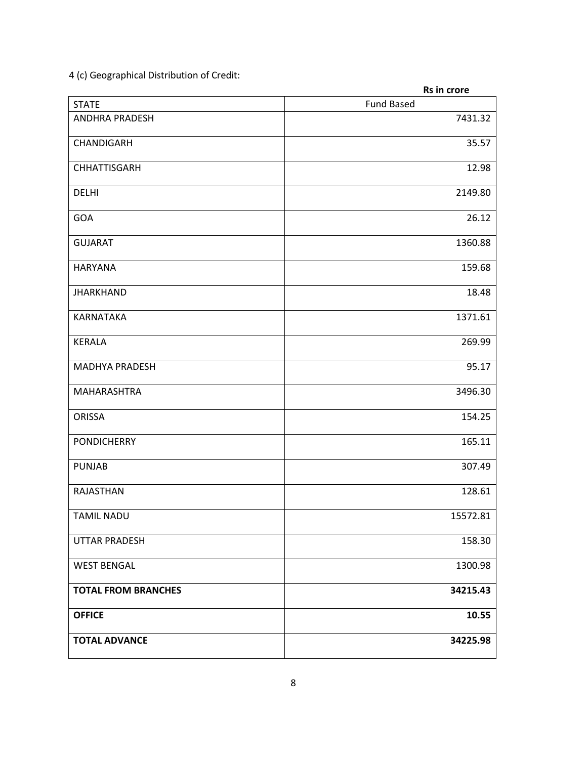4 (c) Geographical Distribution of Credit:

|                            | Rs in crore       |
|----------------------------|-------------------|
| <b>STATE</b>               | <b>Fund Based</b> |
| <b>ANDHRA PRADESH</b>      | 7431.32           |
| CHANDIGARH                 | 35.57             |
| <b>CHHATTISGARH</b>        | 12.98             |
| <b>DELHI</b>               | 2149.80           |
| GOA                        | 26.12             |
| <b>GUJARAT</b>             | 1360.88           |
| <b>HARYANA</b>             | 159.68            |
| <b>JHARKHAND</b>           | 18.48             |
| KARNATAKA                  | 1371.61           |
| <b>KERALA</b>              | 269.99            |
| <b>MADHYA PRADESH</b>      | 95.17             |
| MAHARASHTRA                | 3496.30           |
| <b>ORISSA</b>              | 154.25            |
| <b>PONDICHERRY</b>         | 165.11            |
| <b>PUNJAB</b>              | 307.49            |
| RAJASTHAN                  | 128.61            |
| <b>TAMIL NADU</b>          | 15572.81          |
| <b>UTTAR PRADESH</b>       | 158.30            |
| <b>WEST BENGAL</b>         | 1300.98           |
| <b>TOTAL FROM BRANCHES</b> | 34215.43          |
| <b>OFFICE</b>              | 10.55             |
| <b>TOTAL ADVANCE</b>       | 34225.98          |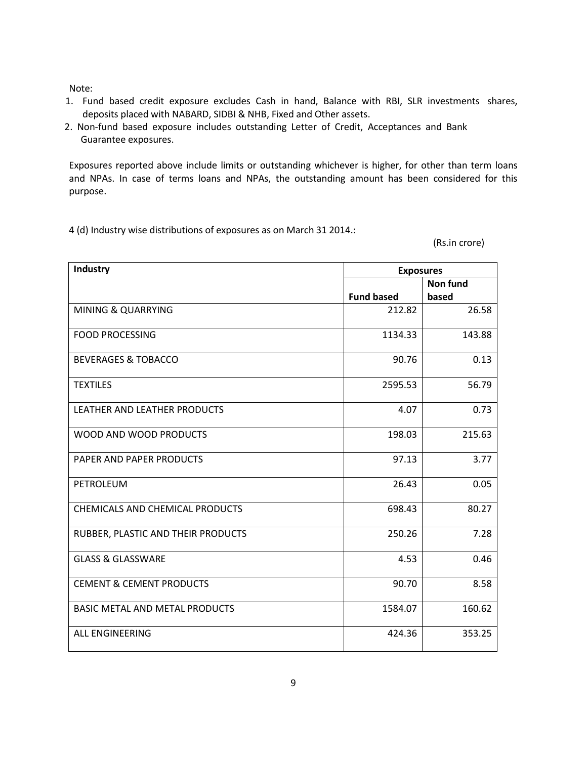Note:

- 1. Fund based credit exposure excludes Cash in hand, Balance with RBI, SLR investments shares, deposits placed with NABARD, SIDBI & NHB, Fixed and Other assets.
- 2. Non-fund based exposure includes outstanding Letter of Credit, Acceptances and Bank Guarantee exposures.

Exposures reported above include limits or outstanding whichever is higher, for other than term loans and NPAs. In case of terms loans and NPAs, the outstanding amount has been considered for this purpose.

4 (d) Industry wise distributions of exposures as on March 31 2014.:

(Rs.in crore)

| Industry                               | <b>Exposures</b>  |          |  |  |
|----------------------------------------|-------------------|----------|--|--|
|                                        |                   | Non fund |  |  |
|                                        | <b>Fund based</b> | based    |  |  |
| <b>MINING &amp; QUARRYING</b>          | 212.82            | 26.58    |  |  |
| <b>FOOD PROCESSING</b>                 | 1134.33           | 143.88   |  |  |
| <b>BEVERAGES &amp; TOBACCO</b>         | 90.76             | 0.13     |  |  |
| <b>TEXTILES</b>                        | 2595.53           | 56.79    |  |  |
| LEATHER AND LEATHER PRODUCTS           | 4.07              | 0.73     |  |  |
| WOOD AND WOOD PRODUCTS                 | 198.03            | 215.63   |  |  |
| PAPER AND PAPER PRODUCTS               | 97.13             | 3.77     |  |  |
| PETROLEUM                              | 26.43             | 0.05     |  |  |
| <b>CHEMICALS AND CHEMICAL PRODUCTS</b> | 698.43            | 80.27    |  |  |
| RUBBER, PLASTIC AND THEIR PRODUCTS     | 250.26            | 7.28     |  |  |
| <b>GLASS &amp; GLASSWARE</b>           | 4.53              | 0.46     |  |  |
| <b>CEMENT &amp; CEMENT PRODUCTS</b>    | 90.70             | 8.58     |  |  |
| <b>BASIC METAL AND METAL PRODUCTS</b>  | 1584.07           | 160.62   |  |  |
| <b>ALL ENGINEERING</b>                 | 424.36            | 353.25   |  |  |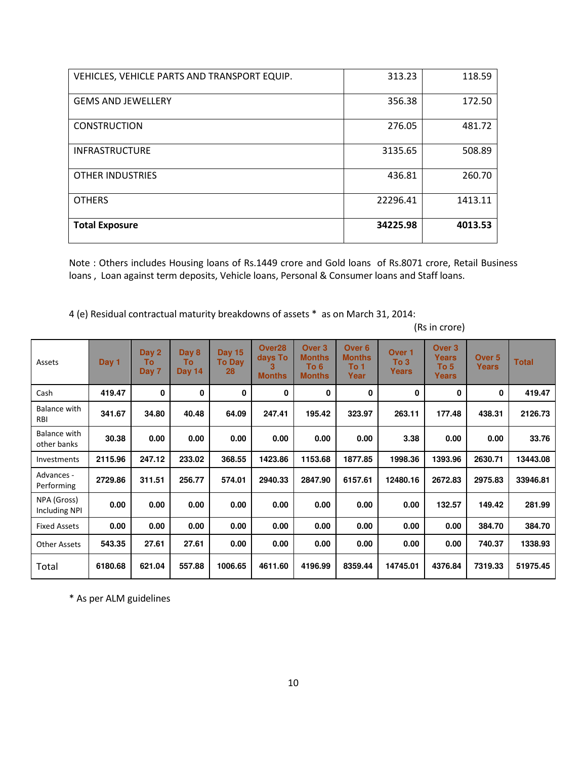| VEHICLES, VEHICLE PARTS AND TRANSPORT EQUIP. | 313.23   | 118.59  |
|----------------------------------------------|----------|---------|
| <b>GEMS AND JEWELLERY</b>                    | 356.38   | 172.50  |
| <b>CONSTRUCTION</b>                          | 276.05   | 481.72  |
| <b>INFRASTRUCTURE</b>                        | 3135.65  | 508.89  |
| <b>OTHER INDUSTRIES</b>                      | 436.81   | 260.70  |
| <b>OTHERS</b>                                | 22296.41 | 1413.11 |
| <b>Total Exposure</b>                        | 34225.98 | 4013.53 |

Note : Others includes Housing loans of Rs.1449 crore and Gold loans of Rs.8071 crore, Retail Business loans, Loan against term deposits, Vehicle loans, Personal & Consumer loans and Staff loans.

4 (e) Residual contractual maturity breakdowns of assets \* as on March 31, 2014:

| Assets                            | Day 1   | Day 2<br>Τо<br>Day 7 | Day 8<br>To<br>Day 14 | <b>Day 15</b><br><b>To Day</b><br>28 | Over <sub>28</sub><br>days To<br>з<br><b>Months</b> | Over <sub>3</sub><br><b>Months</b><br>To 6<br><b>Months</b> | Over <sub>6</sub><br><b>Months</b><br>To 1<br>Year | Over <sub>1</sub><br>To 3<br><b>Years</b> | Over <sub>3</sub><br><b>Years</b><br>To 5<br>Years | Over <sub>5</sub><br><b>Years</b> | <b>Total</b> |
|-----------------------------------|---------|----------------------|-----------------------|--------------------------------------|-----------------------------------------------------|-------------------------------------------------------------|----------------------------------------------------|-------------------------------------------|----------------------------------------------------|-----------------------------------|--------------|
| Cash                              | 419.47  | 0                    | 0                     | 0                                    | 0                                                   | 0                                                           | 0                                                  | 0                                         | 0                                                  | 0                                 | 419.47       |
| <b>Balance with</b><br><b>RBI</b> | 341.67  | 34.80                | 40.48                 | 64.09                                | 247.41                                              | 195.42                                                      | 323.97                                             | 263.11                                    | 177.48                                             | 438.31                            | 2126.73      |
| Balance with<br>other banks       | 30.38   | 0.00                 | 0.00                  | 0.00                                 | 0.00                                                | 0.00                                                        | 0.00                                               | 3.38                                      | 0.00                                               | 0.00                              | 33.76        |
| Investments                       | 2115.96 | 247.12               | 233.02                | 368.55                               | 1423.86                                             | 1153.68                                                     | 1877.85                                            | 1998.36                                   | 1393.96                                            | 2630.71                           | 13443.08     |
| Advances -<br>Performing          | 2729.86 | 311.51               | 256.77                | 574.01                               | 2940.33                                             | 2847.90                                                     | 6157.61                                            | 12480.16                                  | 2672.83                                            | 2975.83                           | 33946.81     |
| NPA (Gross)<br>Including NPI      | 0.00    | 0.00                 | 0.00                  | 0.00                                 | 0.00                                                | 0.00                                                        | 0.00                                               | 0.00                                      | 132.57                                             | 149.42                            | 281.99       |
| <b>Fixed Assets</b>               | 0.00    | 0.00                 | 0.00                  | 0.00                                 | 0.00                                                | 0.00                                                        | 0.00                                               | 0.00                                      | 0.00                                               | 384.70                            | 384.70       |
| <b>Other Assets</b>               | 543.35  | 27.61                | 27.61                 | 0.00                                 | 0.00                                                | 0.00                                                        | 0.00                                               | 0.00                                      | 0.00                                               | 740.37                            | 1338.93      |
| Total                             | 6180.68 | 621.04               | 557.88                | 1006.65                              | 4611.60                                             | 4196.99                                                     | 8359.44                                            | 14745.01                                  | 4376.84                                            | 7319.33                           | 51975.45     |

(Rs in crore)

\* As per ALM guidelines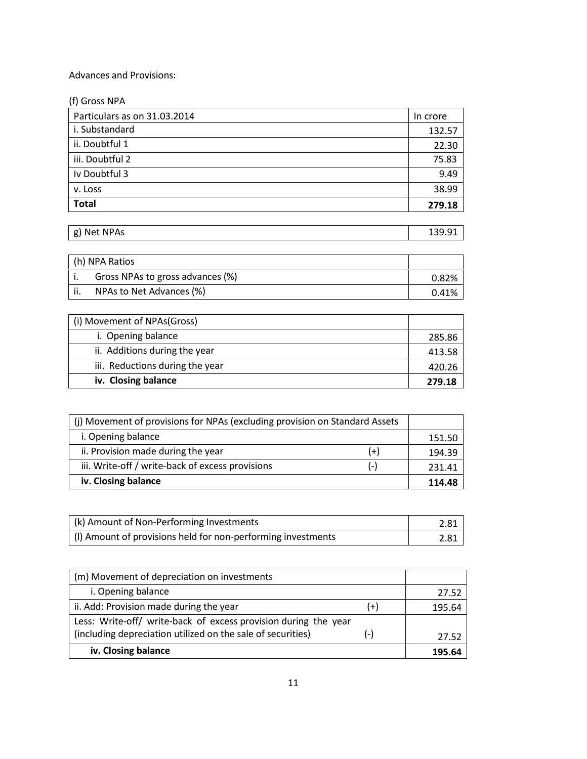## Advances and Provisions:

| (f) Gross NPA                |          |
|------------------------------|----------|
| Particulars as on 31.03.2014 | In crore |
| i. Substandard               | 132.57   |
| ii. Doubtful 1               | 22.30    |
| iii. Doubtful 2              | 75.83    |
| Iv Doubtful 3                | 9.49     |
| v. Loss                      | 38.99    |
| <b>Total</b>                 | 279.18   |

| g) Net NPAs | 139.91 |
|-------------|--------|
|             |        |

| h) NPA Ratios                    |       |
|----------------------------------|-------|
| Gross NPAs to gross advances (%) | 0.82% |
| NPAs to Net Advances (%)         | 0.41% |

| (i) Movement of NPAs(Gross)     |        |
|---------------------------------|--------|
| i. Opening balance              | 285.86 |
| ii. Additions during the year   | 413.58 |
| iii. Reductions during the year | 420.26 |
| iv. Closing balance             | 279.18 |

| (i) Movement of provisions for NPAs (excluding provision on Standard Assets |       |        |
|-----------------------------------------------------------------------------|-------|--------|
| i. Opening balance                                                          |       | 151.50 |
| ii. Provision made during the year                                          | $(+)$ | 194.39 |
| iii. Write-off / write-back of excess provisions                            | $(-)$ | 231.41 |
| iv. Closing balance                                                         |       |        |

| (k) Amount of Non-Performing Investments                     | 2.81 |
|--------------------------------------------------------------|------|
| (I) Amount of provisions held for non-performing investments | 2.81 |

| (m) Movement of depreciation on investments                     |       |        |
|-----------------------------------------------------------------|-------|--------|
| i. Opening balance                                              |       | 27.52  |
| ii. Add: Provision made during the year                         | $(+)$ | 195.64 |
| Less: Write-off/ write-back of excess provision during the year |       |        |
| (including depreciation utilized on the sale of securities)     | $(-)$ | 27.52  |
| iv. Closing balance                                             |       | 195.64 |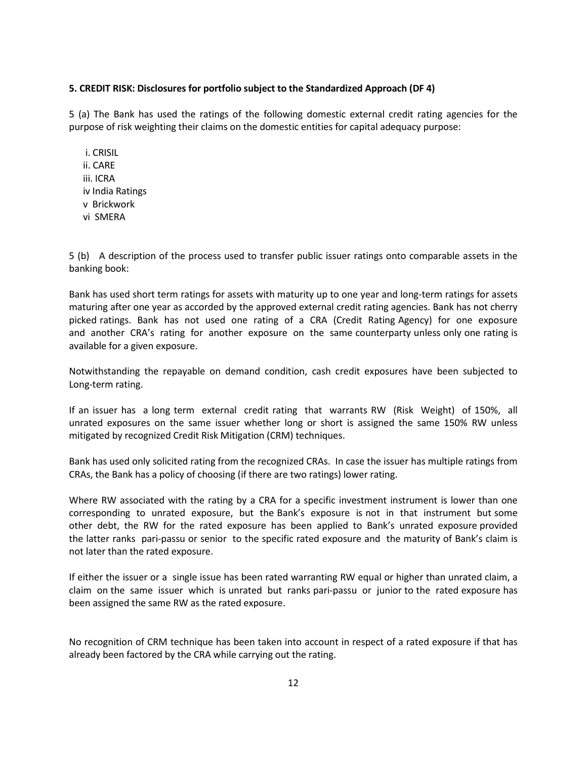#### 5. CREDIT RISK: Disclosures for portfolio subject to the Standardized Approach (DF 4)

5 (a) The Bank has used the ratings of the following domestic external credit rating agencies for the purpose of risk weighting their claims on the domestic entities for capital adequacy purpose:

 i. CRISIL ii. CARE iii. ICRA iv India Ratings v Brickwork vi SMERA

5 (b) A description of the process used to transfer public issuer ratings onto comparable assets in the banking book:

Bank has used short term ratings for assets with maturity up to one year and long-term ratings for assets maturing after one year as accorded by the approved external credit rating agencies. Bank has not cherry picked ratings. Bank has not used one rating of a CRA (Credit Rating Agency) for one exposure and another CRA's rating for another exposure on the same counterparty unless only one rating is available for a given exposure.

Notwithstanding the repayable on demand condition, cash credit exposures have been subjected to Long-term rating.

If an issuer has a long term external credit rating that warrants RW (Risk Weight) of 150%, all unrated exposures on the same issuer whether long or short is assigned the same 150% RW unless mitigated by recognized Credit Risk Mitigation (CRM) techniques.

Bank has used only solicited rating from the recognized CRAs. In case the issuer has multiple ratings from CRAs, the Bank has a policy of choosing (if there are two ratings) lower rating.

Where RW associated with the rating by a CRA for a specific investment instrument is lower than one corresponding to unrated exposure, but the Bank's exposure is not in that instrument but some other debt, the RW for the rated exposure has been applied to Bank's unrated exposure provided the latter ranks pari-passu or senior to the specific rated exposure and the maturity of Bank's claim is not later than the rated exposure.

If either the issuer or a single issue has been rated warranting RW equal or higher than unrated claim, a claim on the same issuer which is unrated but ranks pari-passu or junior to the rated exposure has been assigned the same RW as the rated exposure.

No recognition of CRM technique has been taken into account in respect of a rated exposure if that has already been factored by the CRA while carrying out the rating.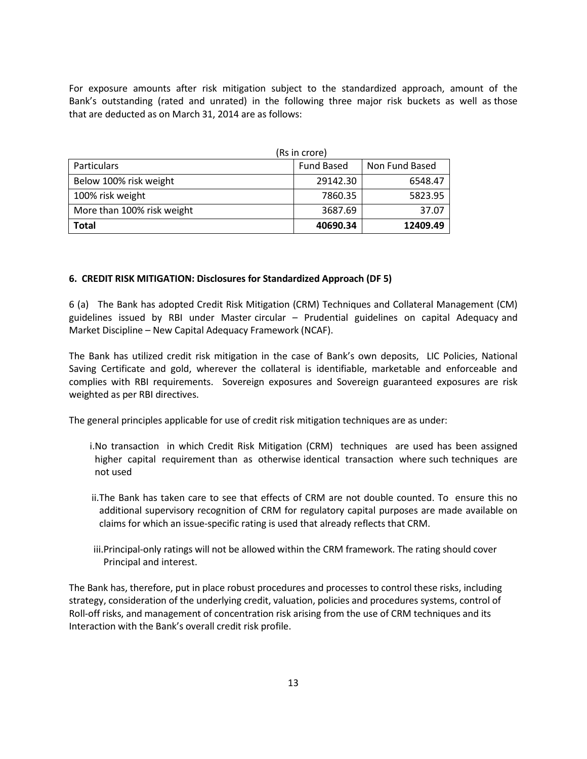For exposure amounts after risk mitigation subject to the standardized approach, amount of the Bank's outstanding (rated and unrated) in the following three major risk buckets as well as those that are deducted as on March 31, 2014 are as follows:

| (Rs in crore)              |                   |                |
|----------------------------|-------------------|----------------|
| <b>Particulars</b>         | <b>Fund Based</b> | Non Fund Based |
| Below 100% risk weight     | 29142.30          | 6548.47        |
| 100% risk weight           | 7860.35           | 5823.95        |
| More than 100% risk weight | 3687.69           | 37.07          |
| <b>Total</b>               | 40690.34          | 12409.49       |

## 6. CREDIT RISK MITIGATION: Disclosures for Standardized Approach (DF 5)

6 (a) The Bank has adopted Credit Risk Mitigation (CRM) Techniques and Collateral Management (CM) guidelines issued by RBI under Master circular – Prudential guidelines on capital Adequacy and Market Discipline – New Capital Adequacy Framework (NCAF).

The Bank has utilized credit risk mitigation in the case of Bank's own deposits, LIC Policies, National Saving Certificate and gold, wherever the collateral is identifiable, marketable and enforceable and complies with RBI requirements. Sovereign exposures and Sovereign guaranteed exposures are risk weighted as per RBI directives.

The general principles applicable for use of credit risk mitigation techniques are as under:

- i.No transaction in which Credit Risk Mitigation (CRM) techniques are used has been assigned higher capital requirement than as otherwise identical transaction where such techniques are not used
- ii.The Bank has taken care to see that effects of CRM are not double counted. To ensure this no additional supervisory recognition of CRM for regulatory capital purposes are made available on claims for which an issue-specific rating is used that already reflects that CRM.
- iii.Principal-only ratings will not be allowed within the CRM framework. The rating should cover Principal and interest.

The Bank has, therefore, put in place robust procedures and processes to control these risks, including strategy, consideration of the underlying credit, valuation, policies and procedures systems, control of Roll-off risks, and management of concentration risk arising from the use of CRM techniques and its Interaction with the Bank's overall credit risk profile.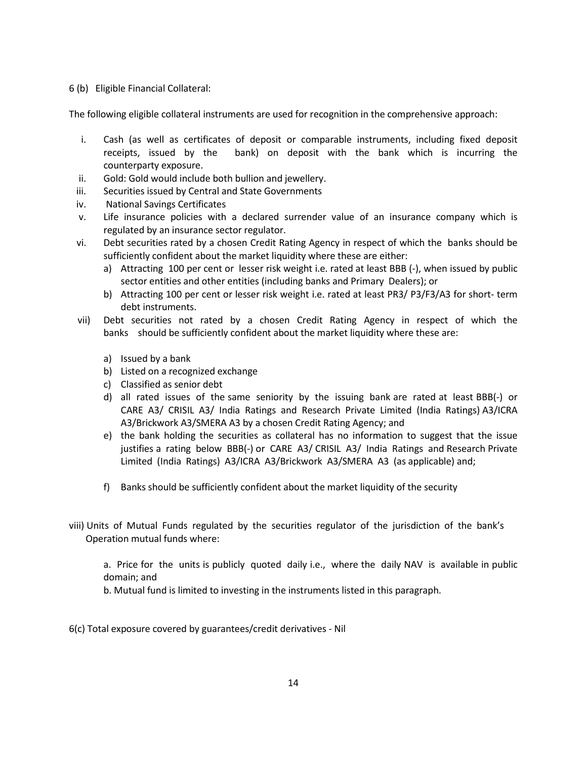#### 6 (b) Eligible Financial Collateral:

The following eligible collateral instruments are used for recognition in the comprehensive approach:

- i. Cash (as well as certificates of deposit or comparable instruments, including fixed deposit receipts, issued by the bank) on deposit with the bank which is incurring the counterparty exposure.
- ii. Gold: Gold would include both bullion and jewellery.
- iii. Securities issued by Central and State Governments
- iv. National Savings Certificates
- v. Life insurance policies with a declared surrender value of an insurance company which is regulated by an insurance sector regulator.
- vi. Debt securities rated by a chosen Credit Rating Agency in respect of which the banks should be sufficiently confident about the market liquidity where these are either:
	- a) Attracting 100 per cent or lesser risk weight i.e. rated at least BBB (-), when issued by public sector entities and other entities (including banks and Primary Dealers); or
	- b) Attracting 100 per cent or lesser risk weight i.e. rated at least PR3/ P3/F3/A3 for short- term debt instruments.
- vii) Debt securities not rated by a chosen Credit Rating Agency in respect of which the banks should be sufficiently confident about the market liquidity where these are:
	- a) Issued by a bank
	- b) Listed on a recognized exchange
	- c) Classified as senior debt
	- d) all rated issues of the same seniority by the issuing bank are rated at least BBB(-) or CARE A3/ CRISIL A3/ India Ratings and Research Private Limited (India Ratings) A3/ICRA A3/Brickwork A3/SMERA A3 by a chosen Credit Rating Agency; and
	- e) the bank holding the securities as collateral has no information to suggest that the issue justifies a rating below BBB(-) or CARE A3/ CRISIL A3/ India Ratings and Research Private Limited (India Ratings) A3/ICRA A3/Brickwork A3/SMERA A3 (as applicable) and;
	- f) Banks should be sufficiently confident about the market liquidity of the security
- viii) Units of Mutual Funds regulated by the securities regulator of the jurisdiction of the bank's Operation mutual funds where:

a. Price for the units is publicly quoted daily i.e., where the daily NAV is available in public domain; and

b. Mutual fund is limited to investing in the instruments listed in this paragraph.

6(c) Total exposure covered by guarantees/credit derivatives - Nil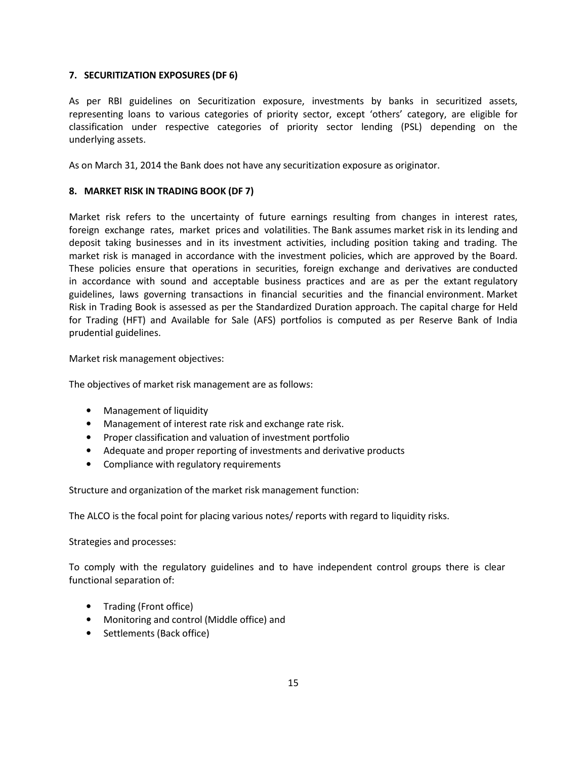## 7. SECURITIZATION EXPOSURES (DF 6)

As per RBI guidelines on Securitization exposure, investments by banks in securitized assets, representing loans to various categories of priority sector, except 'others' category, are eligible for classification under respective categories of priority sector lending (PSL) depending on the underlying assets.

As on March 31, 2014 the Bank does not have any securitization exposure as originator.

## 8. MARKET RISK IN TRADING BOOK (DF 7)

Market risk refers to the uncertainty of future earnings resulting from changes in interest rates, foreign exchange rates, market prices and volatilities. The Bank assumes market risk in its lending and deposit taking businesses and in its investment activities, including position taking and trading. The market risk is managed in accordance with the investment policies, which are approved by the Board. These policies ensure that operations in securities, foreign exchange and derivatives are conducted in accordance with sound and acceptable business practices and are as per the extant regulatory guidelines, laws governing transactions in financial securities and the financial environment. Market Risk in Trading Book is assessed as per the Standardized Duration approach. The capital charge for Held for Trading (HFT) and Available for Sale (AFS) portfolios is computed as per Reserve Bank of India prudential guidelines.

Market risk management objectives:

The objectives of market risk management are as follows:

- Management of liquidity
- Management of interest rate risk and exchange rate risk.
- Proper classification and valuation of investment portfolio
- Adequate and proper reporting of investments and derivative products
- Compliance with regulatory requirements

Structure and organization of the market risk management function:

The ALCO is the focal point for placing various notes/ reports with regard to liquidity risks.

Strategies and processes:

To comply with the regulatory guidelines and to have independent control groups there is clear functional separation of:

- Trading (Front office)
- Monitoring and control (Middle office) and
- Settlements (Back office)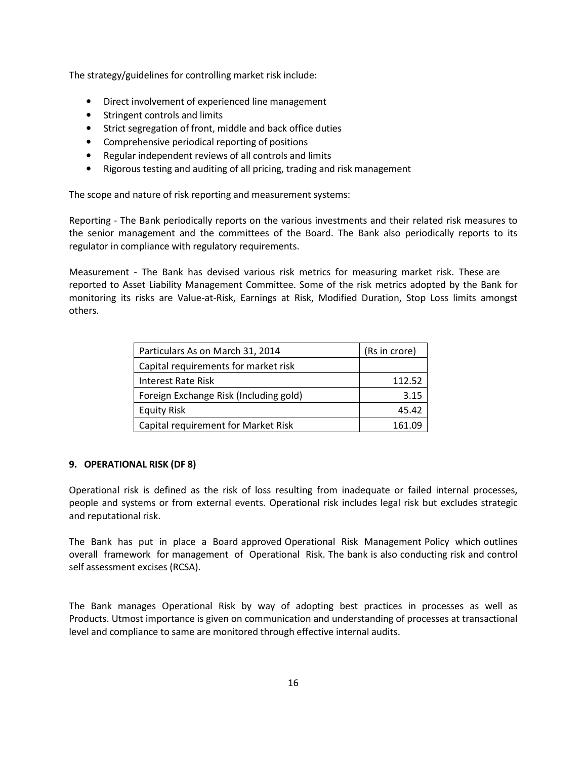The strategy/guidelines for controlling market risk include:

- Direct involvement of experienced line management
- Stringent controls and limits
- Strict segregation of front, middle and back office duties
- Comprehensive periodical reporting of positions
- Regular independent reviews of all controls and limits
- Rigorous testing and auditing of all pricing, trading and risk management

The scope and nature of risk reporting and measurement systems:

Reporting - The Bank periodically reports on the various investments and their related risk measures to the senior management and the committees of the Board. The Bank also periodically reports to its regulator in compliance with regulatory requirements.

Measurement - The Bank has devised various risk metrics for measuring market risk. These are reported to Asset Liability Management Committee. Some of the risk metrics adopted by the Bank for monitoring its risks are Value-at-Risk, Earnings at Risk, Modified Duration, Stop Loss limits amongst others.

| Particulars As on March 31, 2014       | (Rs in crore) |
|----------------------------------------|---------------|
| Capital requirements for market risk   |               |
| Interest Rate Risk                     | 112.52        |
| Foreign Exchange Risk (Including gold) | 3.15          |
| <b>Equity Risk</b>                     | 45.42         |
| Capital requirement for Market Risk    | 161.09        |

#### 9. OPERATIONAL RISK (DF 8)

Operational risk is defined as the risk of loss resulting from inadequate or failed internal processes, people and systems or from external events. Operational risk includes legal risk but excludes strategic and reputational risk.

The Bank has put in place a Board approved Operational Risk Management Policy which outlines overall framework for management of Operational Risk. The bank is also conducting risk and control self assessment excises (RCSA).

The Bank manages Operational Risk by way of adopting best practices in processes as well as Products. Utmost importance is given on communication and understanding of processes at transactional level and compliance to same are monitored through effective internal audits.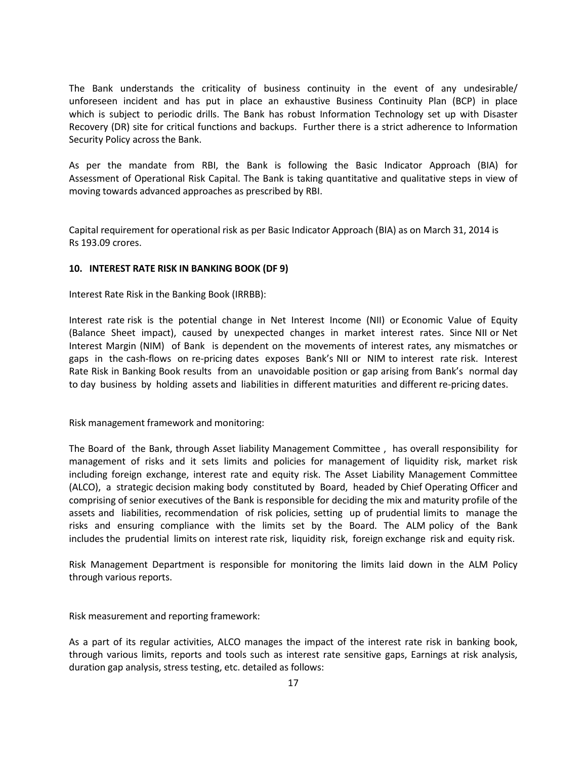The Bank understands the criticality of business continuity in the event of any undesirable/ unforeseen incident and has put in place an exhaustive Business Continuity Plan (BCP) in place which is subject to periodic drills. The Bank has robust Information Technology set up with Disaster Recovery (DR) site for critical functions and backups. Further there is a strict adherence to Information Security Policy across the Bank.

As per the mandate from RBI, the Bank is following the Basic Indicator Approach (BIA) for Assessment of Operational Risk Capital. The Bank is taking quantitative and qualitative steps in view of moving towards advanced approaches as prescribed by RBI.

Capital requirement for operational risk as per Basic Indicator Approach (BIA) as on March 31, 2014 is Rs 193.09 crores.

## 10. INTEREST RATE RISK IN BANKING BOOK (DF 9)

Interest Rate Risk in the Banking Book (IRRBB):

Interest rate risk is the potential change in Net Interest Income (NII) or Economic Value of Equity (Balance Sheet impact), caused by unexpected changes in market interest rates. Since NII or Net Interest Margin (NIM) of Bank is dependent on the movements of interest rates, any mismatches or gaps in the cash-flows on re-pricing dates exposes Bank's NII or NIM to interest rate risk. Interest Rate Risk in Banking Book results from an unavoidable position or gap arising from Bank's normal day to day business by holding assets and liabilities in different maturities and different re-pricing dates.

Risk management framework and monitoring:

The Board of the Bank, through Asset liability Management Committee , has overall responsibility for management of risks and it sets limits and policies for management of liquidity risk, market risk including foreign exchange, interest rate and equity risk. The Asset Liability Management Committee (ALCO), a strategic decision making body constituted by Board, headed by Chief Operating Officer and comprising of senior executives of the Bank is responsible for deciding the mix and maturity profile of the assets and liabilities, recommendation of risk policies, setting up of prudential limits to manage the risks and ensuring compliance with the limits set by the Board. The ALM policy of the Bank includes the prudential limits on interest rate risk, liquidity risk, foreign exchange risk and equity risk.

Risk Management Department is responsible for monitoring the limits laid down in the ALM Policy through various reports.

Risk measurement and reporting framework:

As a part of its regular activities, ALCO manages the impact of the interest rate risk in banking book, through various limits, reports and tools such as interest rate sensitive gaps, Earnings at risk analysis, duration gap analysis, stress testing, etc. detailed as follows: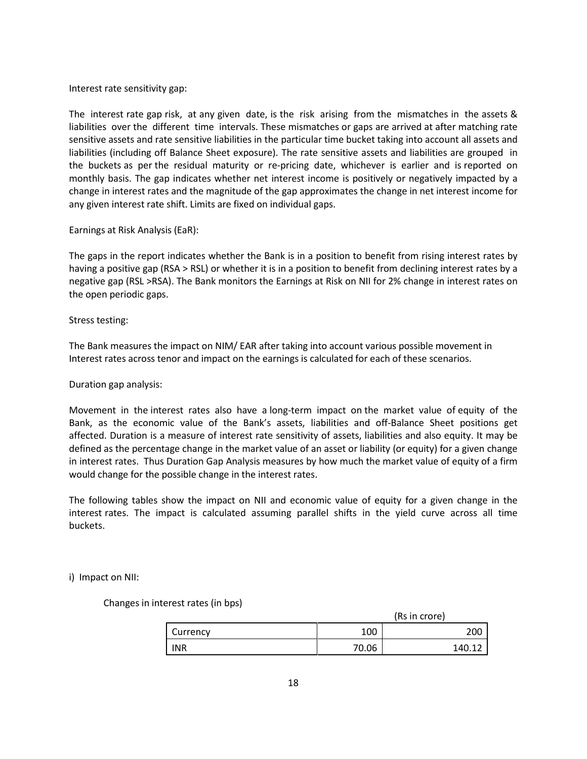Interest rate sensitivity gap:

The interest rate gap risk, at any given date, is the risk arising from the mismatches in the assets & liabilities over the different time intervals. These mismatches or gaps are arrived at after matching rate sensitive assets and rate sensitive liabilities in the particular time bucket taking into account all assets and liabilities (including off Balance Sheet exposure). The rate sensitive assets and liabilities are grouped in the buckets as per the residual maturity or re-pricing date, whichever is earlier and is reported on monthly basis. The gap indicates whether net interest income is positively or negatively impacted by a change in interest rates and the magnitude of the gap approximates the change in net interest income for any given interest rate shift. Limits are fixed on individual gaps.

Earnings at Risk Analysis (EaR):

The gaps in the report indicates whether the Bank is in a position to benefit from rising interest rates by having a positive gap (RSA > RSL) or whether it is in a position to benefit from declining interest rates by a negative gap (RSL >RSA). The Bank monitors the Earnings at Risk on NII for 2% change in interest rates on the open periodic gaps.

Stress testing:

The Bank measures the impact on NIM/ EAR after taking into account various possible movement in Interest rates across tenor and impact on the earnings is calculated for each of these scenarios.

Duration gap analysis:

Movement in the interest rates also have a long-term impact on the market value of equity of the Bank, as the economic value of the Bank's assets, liabilities and off-Balance Sheet positions get affected. Duration is a measure of interest rate sensitivity of assets, liabilities and also equity. It may be defined as the percentage change in the market value of an asset or liability (or equity) for a given change in interest rates. Thus Duration Gap Analysis measures by how much the market value of equity of a firm would change for the possible change in the interest rates.

The following tables show the impact on NII and economic value of equity for a given change in the interest rates. The impact is calculated assuming parallel shifts in the yield curve across all time buckets.

i) Impact on NII:

Changes in interest rates (in bps)

|            | (Rs in crore) |        |
|------------|---------------|--------|
| Currency   | 100           | 200    |
| <b>INR</b> | 70.06         | 140.12 |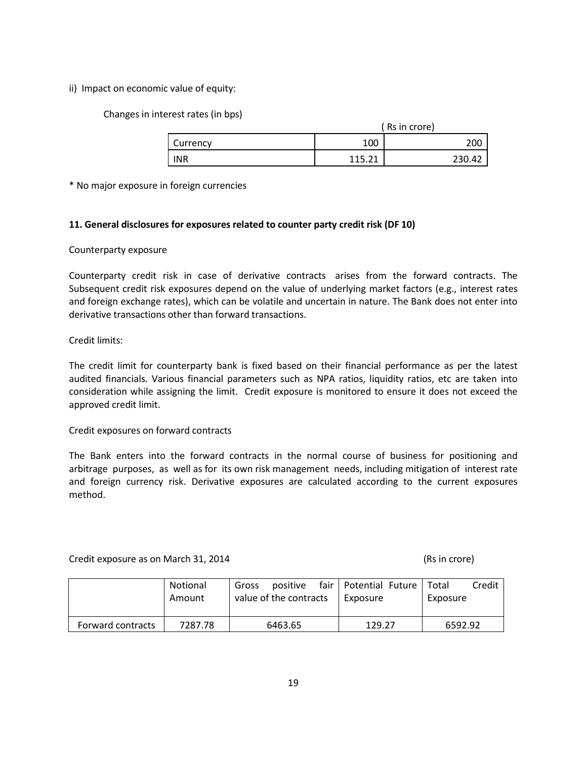ii) Impact on economic value of equity:

Changes in interest rates (in bps)

|            | ( Rs in crore) |        |  |
|------------|----------------|--------|--|
| Currency   | 100            | 200    |  |
| <b>INR</b> | 11 E 71        | 230.42 |  |

\* No major exposure in foreign currencies

## 11. General disclosures for exposures related to counter party credit risk (DF 10)

## Counterparty exposure

Counterparty credit risk in case of derivative contracts arises from the forward contracts. The Subsequent credit risk exposures depend on the value of underlying market factors (e.g., interest rates and foreign exchange rates), which can be volatile and uncertain in nature. The Bank does not enter into derivative transactions other than forward transactions.

## Credit limits:

The credit limit for counterparty bank is fixed based on their financial performance as per the latest audited financials. Various financial parameters such as NPA ratios, liquidity ratios, etc are taken into consideration while assigning the limit. Credit exposure is monitored to ensure it does not exceed the approved credit limit.

#### Credit exposures on forward contracts

The Bank enters into the forward contracts in the normal course of business for positioning and arbitrage purposes, as well as for its own risk management needs, including mitigation of interest rate and foreign currency risk. Derivative exposures are calculated according to the current exposures method.

Credit exposure as on March 31, 2014 (Rs in crore)

|                   | Notional<br>Amount | positive<br>Gross<br>value of the contracts | fair   Potential Future  <br>Exposure | Credit<br>Total<br>Exposure |
|-------------------|--------------------|---------------------------------------------|---------------------------------------|-----------------------------|
| Forward contracts | 7287.78            | 6463.65                                     | 129.27                                | 6592.92                     |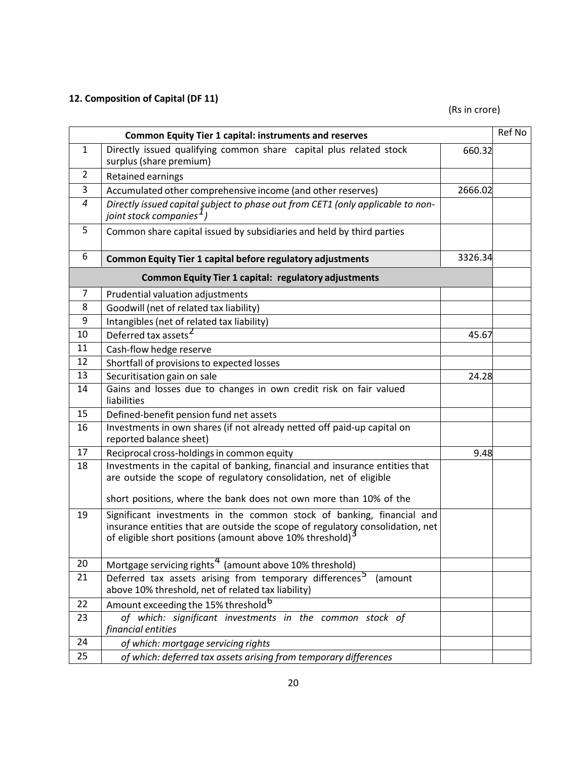# 12. Composition of Capital (DF 11)

(Rs in crore)

|                | <b>Common Equity Tier 1 capital: instruments and reserves</b>                                                                                                                                                       |         | Ref No |
|----------------|---------------------------------------------------------------------------------------------------------------------------------------------------------------------------------------------------------------------|---------|--------|
| $\mathbf{1}$   | Directly issued qualifying common share capital plus related stock<br>surplus (share premium)                                                                                                                       | 660.32  |        |
| $\overline{2}$ | <b>Retained earnings</b>                                                                                                                                                                                            |         |        |
| 3              | Accumulated other comprehensive income (and other reserves)                                                                                                                                                         | 2666.02 |        |
| 4              | Directly issued capital subject to phase out from CET1 (only applicable to non-<br>joint stock companies <sup>1</sup>                                                                                               |         |        |
| 5              | Common share capital issued by subsidiaries and held by third parties                                                                                                                                               |         |        |
| 6              | <b>Common Equity Tier 1 capital before regulatory adjustments</b>                                                                                                                                                   | 3326.34 |        |
|                | <b>Common Equity Tier 1 capital: regulatory adjustments</b>                                                                                                                                                         |         |        |
| 7              | Prudential valuation adjustments                                                                                                                                                                                    |         |        |
| 8              | Goodwill (net of related tax liability)                                                                                                                                                                             |         |        |
| 9              | Intangibles (net of related tax liability)                                                                                                                                                                          |         |        |
| 10             | Deferred tax assets <sup>2</sup>                                                                                                                                                                                    | 45.67   |        |
| 11             | Cash-flow hedge reserve                                                                                                                                                                                             |         |        |
| 12             | Shortfall of provisions to expected losses                                                                                                                                                                          |         |        |
| 13             | Securitisation gain on sale                                                                                                                                                                                         | 24.28   |        |
| 14             | Gains and losses due to changes in own credit risk on fair valued<br>liabilities                                                                                                                                    |         |        |
| 15             | Defined-benefit pension fund net assets                                                                                                                                                                             |         |        |
| 16             | Investments in own shares (if not already netted off paid-up capital on<br>reported balance sheet)                                                                                                                  |         |        |
| 17             | Reciprocal cross-holdings in common equity                                                                                                                                                                          | 9.48    |        |
| 18             | Investments in the capital of banking, financial and insurance entities that<br>are outside the scope of regulatory consolidation, net of eligible                                                                  |         |        |
|                | short positions, where the bank does not own more than 10% of the                                                                                                                                                   |         |        |
| 19             | Significant investments in the common stock of banking, financial and<br>insurance entities that are outside the scope of regulatory consolidation, net<br>of eligible short positions (amount above 10% threshold) |         |        |
| 20             | Mortgage servicing rights <sup>4</sup> (amount above 10% threshold)                                                                                                                                                 |         |        |
| 21             | Deferred tax assets arising from temporary differences <sup>5</sup><br>(amount<br>above 10% threshold, net of related tax liability)                                                                                |         |        |
| 22             | Amount exceeding the 15% threshold <sup>6</sup>                                                                                                                                                                     |         |        |
| 23             | of which: significant investments in the common stock of<br>financial entities                                                                                                                                      |         |        |
| 24             | of which: mortgage servicing rights                                                                                                                                                                                 |         |        |
| 25             | of which: deferred tax assets arising from temporary differences                                                                                                                                                    |         |        |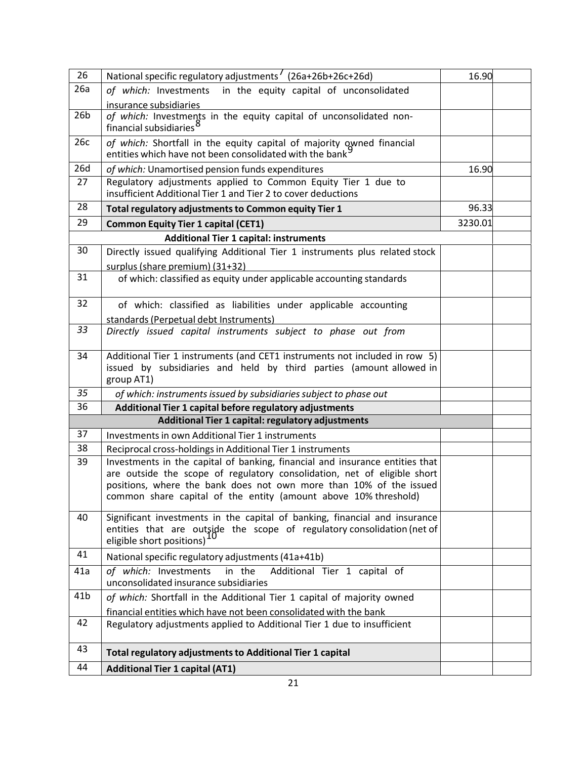| 26              | National specific regulatory adjustments <sup>1</sup> (26a+26b+26c+26d)                                                                                                                                                                                                                           | 16.90   |  |
|-----------------|---------------------------------------------------------------------------------------------------------------------------------------------------------------------------------------------------------------------------------------------------------------------------------------------------|---------|--|
| 26a             | of which: Investments in the equity capital of unconsolidated                                                                                                                                                                                                                                     |         |  |
|                 | insurance subsidiaries                                                                                                                                                                                                                                                                            |         |  |
| 26 <sub>b</sub> | of which: Investments in the equity capital of unconsolidated non-<br>financial subsidiaries <sup>8</sup>                                                                                                                                                                                         |         |  |
| 26c             | of which: Shortfall in the equity capital of majority owned financial<br>entities which have not been consolidated with the bank                                                                                                                                                                  |         |  |
| 26d             | of which: Unamortised pension funds expenditures                                                                                                                                                                                                                                                  |         |  |
| 27              | Regulatory adjustments applied to Common Equity Tier 1 due to<br>insufficient Additional Tier 1 and Tier 2 to cover deductions                                                                                                                                                                    |         |  |
| 28              | Total regulatory adjustments to Common equity Tier 1                                                                                                                                                                                                                                              | 96.33   |  |
| 29              | <b>Common Equity Tier 1 capital (CET1)</b>                                                                                                                                                                                                                                                        | 3230.01 |  |
|                 | <b>Additional Tier 1 capital: instruments</b>                                                                                                                                                                                                                                                     |         |  |
| 30              | Directly issued qualifying Additional Tier 1 instruments plus related stock<br>surplus (share premium) (31+32)                                                                                                                                                                                    |         |  |
| 31              | of which: classified as equity under applicable accounting standards                                                                                                                                                                                                                              |         |  |
| 32              | of which: classified as liabilities under applicable accounting                                                                                                                                                                                                                                   |         |  |
|                 | standards (Perpetual debt Instruments)                                                                                                                                                                                                                                                            |         |  |
| 33              | Directly issued capital instruments subject to phase out from                                                                                                                                                                                                                                     |         |  |
| 34              | Additional Tier 1 instruments (and CET1 instruments not included in row 5)<br>issued by subsidiaries and held by third parties (amount allowed in<br>group AT1)                                                                                                                                   |         |  |
| 35              | of which: instruments issued by subsidiaries subject to phase out                                                                                                                                                                                                                                 |         |  |
| 36              | Additional Tier 1 capital before regulatory adjustments                                                                                                                                                                                                                                           |         |  |
|                 | Additional Tier 1 capital: regulatory adjustments                                                                                                                                                                                                                                                 |         |  |
| 37              | Investments in own Additional Tier 1 instruments                                                                                                                                                                                                                                                  |         |  |
| 38              | Reciprocal cross-holdings in Additional Tier 1 instruments                                                                                                                                                                                                                                        |         |  |
| 39              | Investments in the capital of banking, financial and insurance entities that<br>are outside the scope of regulatory consolidation, net of eligible short<br>positions, where the bank does not own more than 10% of the issued<br>common share capital of the entity (amount above 10% threshold) |         |  |
| 40              | Significant investments in the capital of banking, financial and insurance<br>entities that are outside the scope of regulatory consolidation (net of<br>eligible short positions)                                                                                                                |         |  |
| 41              | National specific regulatory adjustments (41a+41b)                                                                                                                                                                                                                                                |         |  |
| 41a             | of which: Investments<br>in the<br>Additional Tier 1 capital of<br>unconsolidated insurance subsidiaries                                                                                                                                                                                          |         |  |
| 41 <sub>b</sub> | of which: Shortfall in the Additional Tier 1 capital of majority owned                                                                                                                                                                                                                            |         |  |
|                 | financial entities which have not been consolidated with the bank                                                                                                                                                                                                                                 |         |  |
| 42              | Regulatory adjustments applied to Additional Tier 1 due to insufficient                                                                                                                                                                                                                           |         |  |
| 43              | Total regulatory adjustments to Additional Tier 1 capital                                                                                                                                                                                                                                         |         |  |
| 44              | <b>Additional Tier 1 capital (AT1)</b>                                                                                                                                                                                                                                                            |         |  |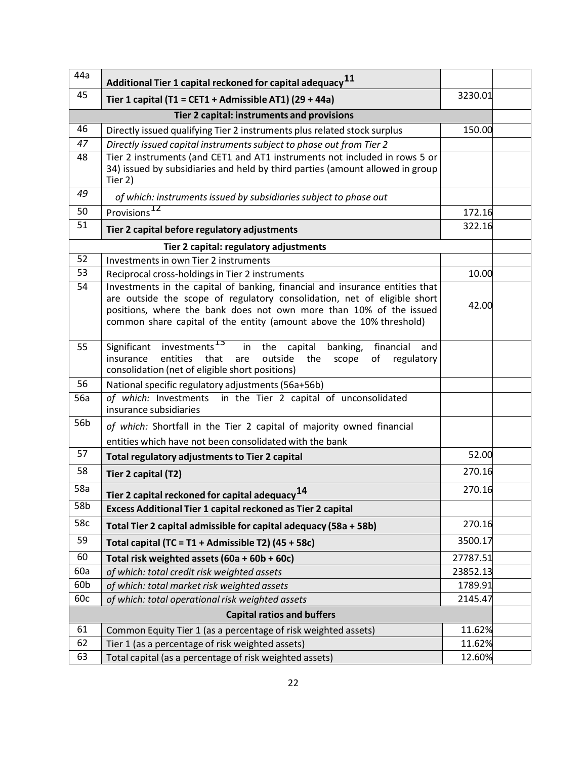| 44a | Additional Tier 1 capital reckoned for capital adequacy $^{11}$                                                                                                                                                                                                                                       |          |  |
|-----|-------------------------------------------------------------------------------------------------------------------------------------------------------------------------------------------------------------------------------------------------------------------------------------------------------|----------|--|
| 45  | Tier 1 capital (T1 = CET1 + Admissible AT1) (29 + 44a)                                                                                                                                                                                                                                                |          |  |
|     | Tier 2 capital: instruments and provisions                                                                                                                                                                                                                                                            |          |  |
| 46  | Directly issued qualifying Tier 2 instruments plus related stock surplus                                                                                                                                                                                                                              |          |  |
| 47  | Directly issued capital instruments subject to phase out from Tier 2                                                                                                                                                                                                                                  |          |  |
| 48  | Tier 2 instruments (and CET1 and AT1 instruments not included in rows 5 or<br>34) issued by subsidiaries and held by third parties (amount allowed in group<br>Tier 2)                                                                                                                                |          |  |
| 49  | of which: instruments issued by subsidiaries subject to phase out                                                                                                                                                                                                                                     |          |  |
| 50  | Provisions <sup>12</sup>                                                                                                                                                                                                                                                                              | 172.16   |  |
| 51  | Tier 2 capital before regulatory adjustments                                                                                                                                                                                                                                                          | 322.16   |  |
|     | Tier 2 capital: regulatory adjustments                                                                                                                                                                                                                                                                |          |  |
| 52  | Investments in own Tier 2 instruments                                                                                                                                                                                                                                                                 |          |  |
| 53  | Reciprocal cross-holdings in Tier 2 instruments                                                                                                                                                                                                                                                       | 10.00    |  |
| 54  | Investments in the capital of banking, financial and insurance entities that<br>are outside the scope of regulatory consolidation, net of eligible short<br>positions, where the bank does not own more than 10% of the issued<br>common share capital of the entity (amount above the 10% threshold) | 42.00    |  |
| 55  | Significant investments <sup>13</sup><br>in the<br>capital<br>banking,<br>financial<br>and<br>entities<br>insurance<br>that<br>outside<br>regulatory<br>the<br>scope<br>of<br>are<br>consolidation (net of eligible short positions)                                                                  |          |  |
| 56  | National specific regulatory adjustments (56a+56b)                                                                                                                                                                                                                                                    |          |  |
| 56a | of which: Investments in the Tier 2 capital of unconsolidated<br>insurance subsidiaries                                                                                                                                                                                                               |          |  |
| 56b | of which: Shortfall in the Tier 2 capital of majority owned financial                                                                                                                                                                                                                                 |          |  |
|     | entities which have not been consolidated with the bank                                                                                                                                                                                                                                               |          |  |
| 57  | Total regulatory adjustments to Tier 2 capital                                                                                                                                                                                                                                                        | 52.00    |  |
| 58  | Tier 2 capital (T2)                                                                                                                                                                                                                                                                                   | 270.16   |  |
| 58a | Tier 2 capital reckoned for capital adequacy <sup>14</sup>                                                                                                                                                                                                                                            | 270.16   |  |
| 58b | Excess Additional Tier 1 capital reckoned as Tier 2 capital                                                                                                                                                                                                                                           |          |  |
| 58c | Total Tier 2 capital admissible for capital adequacy (58a + 58b)                                                                                                                                                                                                                                      | 270.16   |  |
| 59  | Total capital (TC = T1 + Admissible T2) (45 + 58c)                                                                                                                                                                                                                                                    | 3500.17  |  |
| 60  | Total risk weighted assets (60a + 60b + 60c)                                                                                                                                                                                                                                                          | 27787.51 |  |
| 60a | of which: total credit risk weighted assets                                                                                                                                                                                                                                                           | 23852.13 |  |
| 60b | of which: total market risk weighted assets                                                                                                                                                                                                                                                           | 1789.91  |  |
| 60c | of which: total operational risk weighted assets                                                                                                                                                                                                                                                      | 2145.47  |  |
|     | <b>Capital ratios and buffers</b>                                                                                                                                                                                                                                                                     |          |  |
| 61  | Common Equity Tier 1 (as a percentage of risk weighted assets)                                                                                                                                                                                                                                        | 11.62%   |  |
| 62  | Tier 1 (as a percentage of risk weighted assets)                                                                                                                                                                                                                                                      | 11.62%   |  |
| 63  | Total capital (as a percentage of risk weighted assets)                                                                                                                                                                                                                                               | 12.60%   |  |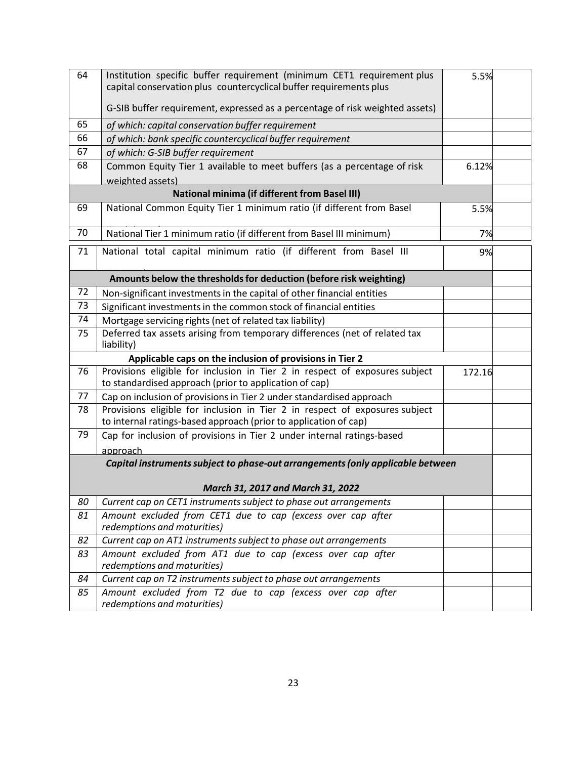| 64                                                                           | Institution specific buffer requirement (minimum CET1 requirement plus<br>capital conservation plus countercyclical buffer requirements plus | 5.5%   |  |  |
|------------------------------------------------------------------------------|----------------------------------------------------------------------------------------------------------------------------------------------|--------|--|--|
|                                                                              |                                                                                                                                              |        |  |  |
| G-SIB buffer requirement, expressed as a percentage of risk weighted assets) |                                                                                                                                              |        |  |  |
| 65                                                                           | of which: capital conservation buffer requirement                                                                                            |        |  |  |
| 66                                                                           | of which: bank specific countercyclical buffer requirement                                                                                   |        |  |  |
| 67                                                                           | of which: G-SIB buffer requirement                                                                                                           |        |  |  |
| 68                                                                           | Common Equity Tier 1 available to meet buffers (as a percentage of risk                                                                      | 6.12%  |  |  |
|                                                                              | weighted assets)                                                                                                                             |        |  |  |
|                                                                              | <b>National minima (if different from Basel III)</b>                                                                                         |        |  |  |
| 69                                                                           | National Common Equity Tier 1 minimum ratio (if different from Basel                                                                         | 5.5%   |  |  |
| 70                                                                           | National Tier 1 minimum ratio (if different from Basel III minimum)                                                                          | 7%     |  |  |
| 71                                                                           | National total capital minimum ratio (if different from Basel III                                                                            | 9%     |  |  |
|                                                                              | Amounts below the thresholds for deduction (before risk weighting)                                                                           |        |  |  |
| 72                                                                           | Non-significant investments in the capital of other financial entities                                                                       |        |  |  |
| 73                                                                           | Significant investments in the common stock of financial entities                                                                            |        |  |  |
| 74                                                                           | Mortgage servicing rights (net of related tax liability)                                                                                     |        |  |  |
| 75                                                                           | Deferred tax assets arising from temporary differences (net of related tax<br>liability)                                                     |        |  |  |
| Applicable caps on the inclusion of provisions in Tier 2                     |                                                                                                                                              |        |  |  |
| 76                                                                           | Provisions eligible for inclusion in Tier 2 in respect of exposures subject<br>to standardised approach (prior to application of cap)        | 172.16 |  |  |
| 77                                                                           | Cap on inclusion of provisions in Tier 2 under standardised approach                                                                         |        |  |  |
| 78                                                                           | Provisions eligible for inclusion in Tier 2 in respect of exposures subject                                                                  |        |  |  |
|                                                                              | to internal ratings-based approach (prior to application of cap)                                                                             |        |  |  |
| 79                                                                           | Cap for inclusion of provisions in Tier 2 under internal ratings-based                                                                       |        |  |  |
|                                                                              | approach                                                                                                                                     |        |  |  |
|                                                                              | Capital instruments subject to phase-out arrangements (only applicable between                                                               |        |  |  |
| March 31, 2017 and March 31, 2022                                            |                                                                                                                                              |        |  |  |
| 80                                                                           | Current cap on CET1 instruments subject to phase out arrangements                                                                            |        |  |  |
| 81                                                                           | Amount excluded from CET1 due to cap (excess over cap after                                                                                  |        |  |  |
|                                                                              | redemptions and maturities)                                                                                                                  |        |  |  |
| 82<br>83                                                                     | Current cap on AT1 instruments subject to phase out arrangements<br>Amount excluded from AT1 due to cap (excess over cap after               |        |  |  |
|                                                                              | redemptions and maturities)                                                                                                                  |        |  |  |
| 84                                                                           | Current cap on T2 instruments subject to phase out arrangements                                                                              |        |  |  |
| 85                                                                           | Amount excluded from T2 due to cap (excess over cap after<br>redemptions and maturities)                                                     |        |  |  |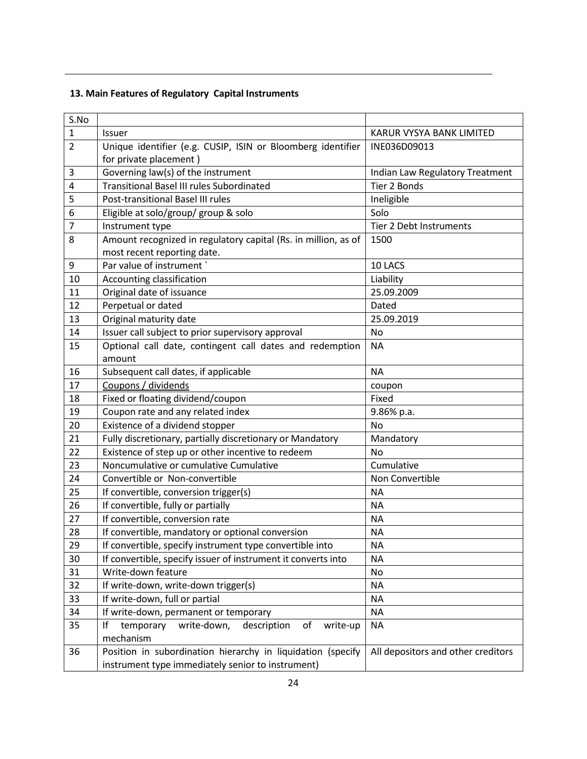# 13. Main Features of Regulatory Capital Instruments

| S.No           |                                                                 |                                    |  |
|----------------|-----------------------------------------------------------------|------------------------------------|--|
| $\mathbf{1}$   | <b>Issuer</b>                                                   | KARUR VYSYA BANK LIMITED           |  |
| $\overline{2}$ | Unique identifier (e.g. CUSIP, ISIN or Bloomberg identifier     | INE036D09013                       |  |
|                | for private placement)                                          |                                    |  |
| 3              | Governing law(s) of the instrument                              | Indian Law Regulatory Treatment    |  |
| $\overline{4}$ | <b>Transitional Basel III rules Subordinated</b>                | Tier 2 Bonds                       |  |
| 5              | Post-transitional Basel III rules                               | Ineligible                         |  |
| 6              | Eligible at solo/group/ group & solo                            | Solo                               |  |
| $\overline{7}$ | Instrument type                                                 | Tier 2 Debt Instruments            |  |
| 8              | Amount recognized in regulatory capital (Rs. in million, as of  | 1500                               |  |
|                | most recent reporting date.                                     |                                    |  |
| 9              | Par value of instrument `                                       | 10 LACS                            |  |
| 10             | Accounting classification                                       | Liability                          |  |
| 11             | Original date of issuance                                       | 25.09.2009                         |  |
| 12             | Perpetual or dated                                              | Dated                              |  |
| 13             | Original maturity date                                          | 25.09.2019                         |  |
| 14             | Issuer call subject to prior supervisory approval               | <b>No</b>                          |  |
| 15             | Optional call date, contingent call dates and redemption        | <b>NA</b>                          |  |
|                | amount                                                          |                                    |  |
| 16             | Subsequent call dates, if applicable                            | <b>NA</b>                          |  |
| 17             | Coupons / dividends                                             | coupon                             |  |
| 18             | Fixed or floating dividend/coupon                               | Fixed                              |  |
| 19             | Coupon rate and any related index                               | 9.86% p.a.                         |  |
| 20             | Existence of a dividend stopper                                 | <b>No</b>                          |  |
| 21             | Fully discretionary, partially discretionary or Mandatory       | Mandatory                          |  |
| 22             | Existence of step up or other incentive to redeem               | <b>No</b>                          |  |
| 23             | Noncumulative or cumulative Cumulative                          | Cumulative                         |  |
| 24             | Convertible or Non-convertible                                  | Non Convertible                    |  |
| 25             | If convertible, conversion trigger(s)                           | <b>NA</b>                          |  |
| 26             | If convertible, fully or partially                              | <b>NA</b>                          |  |
| 27             | If convertible, conversion rate                                 | <b>NA</b>                          |  |
| 28             | If convertible, mandatory or optional conversion                | <b>NA</b>                          |  |
| 29             | If convertible, specify instrument type convertible into        | <b>NA</b>                          |  |
| 30             | If convertible, specify issuer of instrument it converts into   | <b>NA</b>                          |  |
| 31             | Write-down feature                                              | No                                 |  |
| 32             | If write-down, write-down trigger(s)                            | <b>NA</b>                          |  |
| 33             | If write-down, full or partial                                  | <b>NA</b>                          |  |
| 34             | If write-down, permanent or temporary                           | <b>NA</b>                          |  |
| 35             | If<br>write-down,<br>of<br>temporary<br>description<br>write-up | <b>NA</b>                          |  |
|                | mechanism                                                       |                                    |  |
| 36             | Position in subordination hierarchy in liquidation (specify     | All depositors and other creditors |  |
|                | instrument type immediately senior to instrument)               |                                    |  |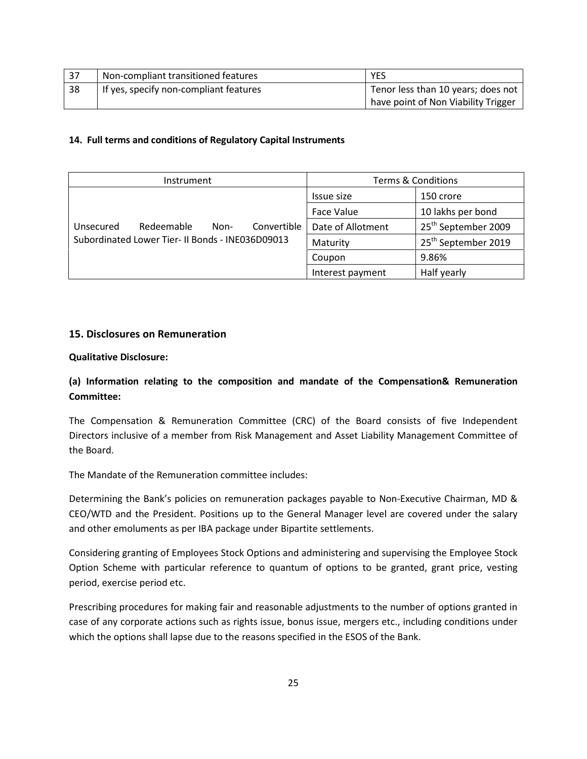| 37  | Non-compliant transitioned features    | <b>YES</b>                            |  |
|-----|----------------------------------------|---------------------------------------|--|
| -38 | If yes, specify non-compliant features | Tenor less than 10 years; does not    |  |
|     |                                        | I have point of Non Viability Trigger |  |

## 14. Full terms and conditions of Regulatory Capital Instruments

| Instrument                                       | <b>Terms &amp; Conditions</b> |                                 |
|--------------------------------------------------|-------------------------------|---------------------------------|
|                                                  | Issue size                    | 150 crore                       |
|                                                  | <b>Face Value</b>             | 10 lakhs per bond               |
| Convertible<br>Redeemable<br>Unsecured<br>Non-   | Date of Allotment             | 25 <sup>th</sup> September 2009 |
| Subordinated Lower Tier- II Bonds - INE036D09013 | Maturity                      | 25 <sup>th</sup> September 2019 |
|                                                  | Coupon                        | 9.86%                           |
|                                                  | Interest payment              | Half yearly                     |

## 15. Disclosures on Remuneration

## Qualitative Disclosure:

## (a) Information relating to the composition and mandate of the Compensation& Remuneration Committee:

The Compensation & Remuneration Committee (CRC) of the Board consists of five Independent Directors inclusive of a member from Risk Management and Asset Liability Management Committee of the Board.

The Mandate of the Remuneration committee includes:

Determining the Bank's policies on remuneration packages payable to Non-Executive Chairman, MD & CEO/WTD and the President. Positions up to the General Manager level are covered under the salary and other emoluments as per IBA package under Bipartite settlements.

Considering granting of Employees Stock Options and administering and supervising the Employee Stock Option Scheme with particular reference to quantum of options to be granted, grant price, vesting period, exercise period etc.

Prescribing procedures for making fair and reasonable adjustments to the number of options granted in case of any corporate actions such as rights issue, bonus issue, mergers etc., including conditions under which the options shall lapse due to the reasons specified in the ESOS of the Bank.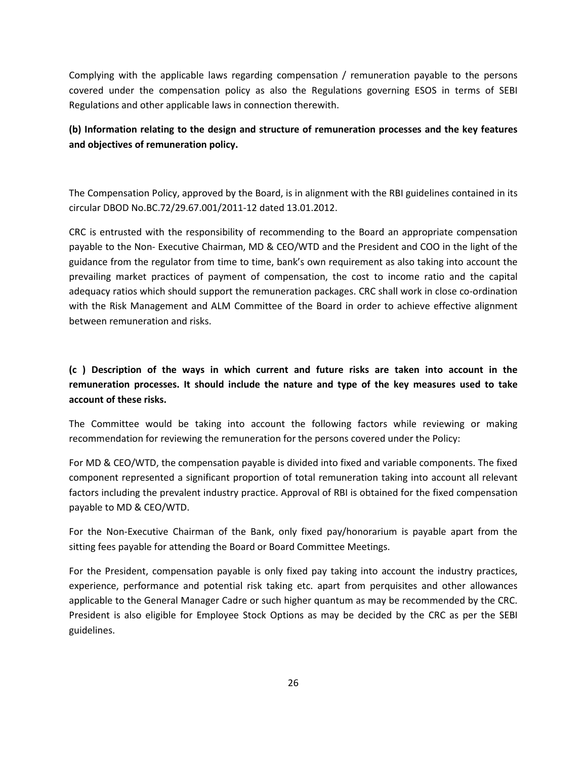Complying with the applicable laws regarding compensation / remuneration payable to the persons covered under the compensation policy as also the Regulations governing ESOS in terms of SEBI Regulations and other applicable laws in connection therewith.

## (b) Information relating to the design and structure of remuneration processes and the key features and objectives of remuneration policy.

The Compensation Policy, approved by the Board, is in alignment with the RBI guidelines contained in its circular DBOD No.BC.72/29.67.001/2011-12 dated 13.01.2012.

CRC is entrusted with the responsibility of recommending to the Board an appropriate compensation payable to the Non- Executive Chairman, MD & CEO/WTD and the President and COO in the light of the guidance from the regulator from time to time, bank's own requirement as also taking into account the prevailing market practices of payment of compensation, the cost to income ratio and the capital adequacy ratios which should support the remuneration packages. CRC shall work in close co-ordination with the Risk Management and ALM Committee of the Board in order to achieve effective alignment between remuneration and risks.

## (c ) Description of the ways in which current and future risks are taken into account in the remuneration processes. It should include the nature and type of the key measures used to take account of these risks.

The Committee would be taking into account the following factors while reviewing or making recommendation for reviewing the remuneration for the persons covered under the Policy:

For MD & CEO/WTD, the compensation payable is divided into fixed and variable components. The fixed component represented a significant proportion of total remuneration taking into account all relevant factors including the prevalent industry practice. Approval of RBI is obtained for the fixed compensation payable to MD & CEO/WTD.

For the Non-Executive Chairman of the Bank, only fixed pay/honorarium is payable apart from the sitting fees payable for attending the Board or Board Committee Meetings.

For the President, compensation payable is only fixed pay taking into account the industry practices, experience, performance and potential risk taking etc. apart from perquisites and other allowances applicable to the General Manager Cadre or such higher quantum as may be recommended by the CRC. President is also eligible for Employee Stock Options as may be decided by the CRC as per the SEBI guidelines.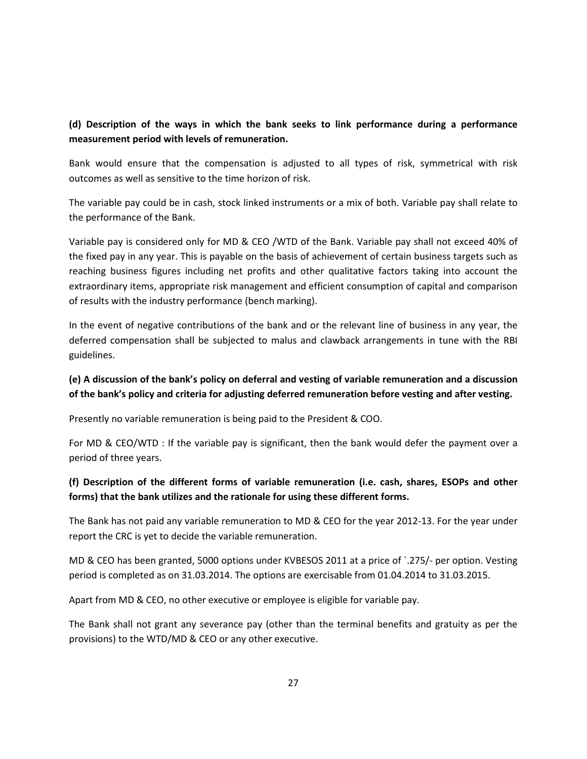## (d) Description of the ways in which the bank seeks to link performance during a performance measurement period with levels of remuneration.

Bank would ensure that the compensation is adjusted to all types of risk, symmetrical with risk outcomes as well as sensitive to the time horizon of risk.

The variable pay could be in cash, stock linked instruments or a mix of both. Variable pay shall relate to the performance of the Bank.

Variable pay is considered only for MD & CEO /WTD of the Bank. Variable pay shall not exceed 40% of the fixed pay in any year. This is payable on the basis of achievement of certain business targets such as reaching business figures including net profits and other qualitative factors taking into account the extraordinary items, appropriate risk management and efficient consumption of capital and comparison of results with the industry performance (bench marking).

In the event of negative contributions of the bank and or the relevant line of business in any year, the deferred compensation shall be subjected to malus and clawback arrangements in tune with the RBI guidelines.

## (e) A discussion of the bank's policy on deferral and vesting of variable remuneration and a discussion of the bank's policy and criteria for adjusting deferred remuneration before vesting and after vesting.

Presently no variable remuneration is being paid to the President & COO.

For MD & CEO/WTD : If the variable pay is significant, then the bank would defer the payment over a period of three years.

## (f) Description of the different forms of variable remuneration (i.e. cash, shares, ESOPs and other forms) that the bank utilizes and the rationale for using these different forms.

The Bank has not paid any variable remuneration to MD & CEO for the year 2012-13. For the year under report the CRC is yet to decide the variable remuneration.

MD & CEO has been granted, 5000 options under KVBESOS 2011 at a price of `.275/- per option. Vesting period is completed as on 31.03.2014. The options are exercisable from 01.04.2014 to 31.03.2015.

Apart from MD & CEO, no other executive or employee is eligible for variable pay.

The Bank shall not grant any severance pay (other than the terminal benefits and gratuity as per the provisions) to the WTD/MD & CEO or any other executive.